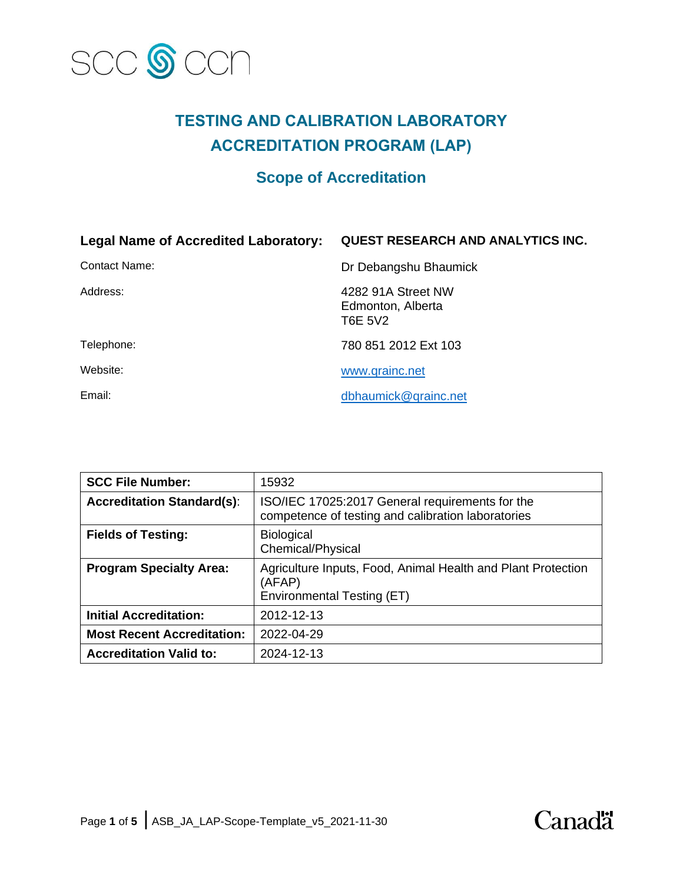

# **TESTING AND CALIBRATION LABORATORY ACCREDITATION PROGRAM (LAP)**

# **Scope of Accreditation**

| <b>Legal Name of Accredited Laboratory:</b> | <b>QUEST RESEARCH AND ANALYTICS INC.</b>           |
|---------------------------------------------|----------------------------------------------------|
| Contact Name:                               | Dr Debangshu Bhaumick                              |
| Address:                                    | 4282 91A Street NW<br>Edmonton, Alberta<br>T6E 5V2 |
| Telephone:                                  | 780 851 2012 Ext 103                               |
| Website:                                    | www.qrainc.net                                     |
| Email:                                      | dbhaumick@grainc.net                               |

| <b>SCC File Number:</b>           | 15932                                                                                                 |
|-----------------------------------|-------------------------------------------------------------------------------------------------------|
| <b>Accreditation Standard(s):</b> | ISO/IEC 17025:2017 General requirements for the<br>competence of testing and calibration laboratories |
| <b>Fields of Testing:</b>         | <b>Biological</b><br>Chemical/Physical                                                                |
| <b>Program Specialty Area:</b>    | Agriculture Inputs, Food, Animal Health and Plant Protection<br>(AFAP)<br>Environmental Testing (ET)  |
| <b>Initial Accreditation:</b>     | 2012-12-13                                                                                            |
| <b>Most Recent Accreditation:</b> | 2022-04-29                                                                                            |
| <b>Accreditation Valid to:</b>    | 2024-12-13                                                                                            |

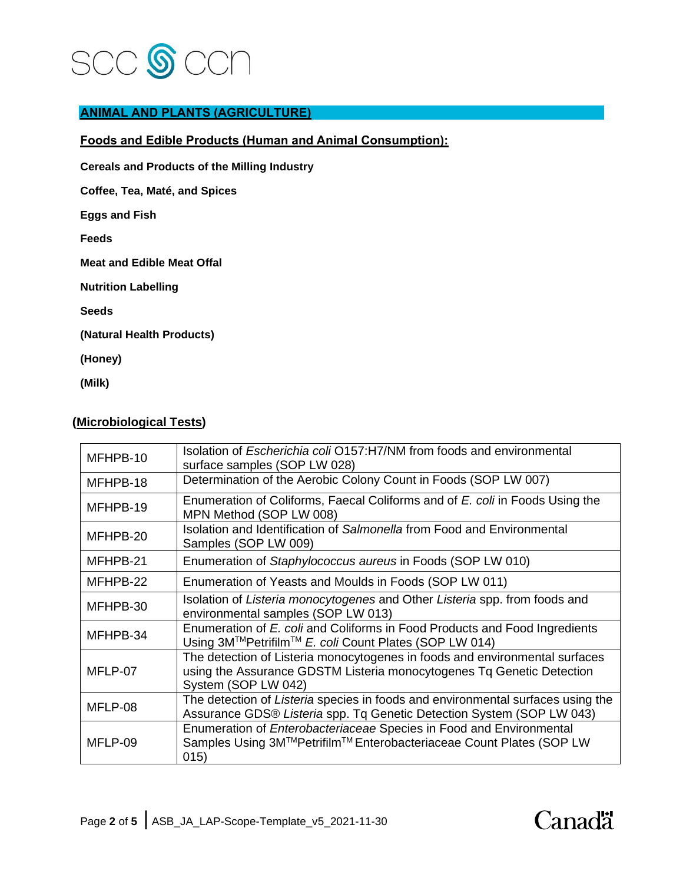

# **ANIMAL AND PLANTS (AGRICULTURE)**

# **Foods and Edible Products (Human and Animal Consumption):**

**Cereals and Products of the Milling Industry**

**Coffee, Tea, Maté, and Spices**

**Eggs and Fish**

**Feeds**

**Meat and Edible Meat Offal**

**Nutrition Labelling**

**Seeds**

**(Natural Health Products)**

**(Honey)**

**(Milk)**

## **(Microbiological Tests)**

| MFHPB-10 | Isolation of Escherichia coli O157:H7/NM from foods and environmental<br>surface samples (SOP LW 028)                                                                       |
|----------|-----------------------------------------------------------------------------------------------------------------------------------------------------------------------------|
| MFHPB-18 | Determination of the Aerobic Colony Count in Foods (SOP LW 007)                                                                                                             |
| MFHPB-19 | Enumeration of Coliforms, Faecal Coliforms and of E. coli in Foods Using the<br>MPN Method (SOP LW 008)                                                                     |
| MFHPB-20 | Isolation and Identification of Salmonella from Food and Environmental<br>Samples (SOP LW 009)                                                                              |
| MFHPB-21 | Enumeration of Staphylococcus aureus in Foods (SOP LW 010)                                                                                                                  |
| MFHPB-22 | Enumeration of Yeasts and Moulds in Foods (SOP LW 011)                                                                                                                      |
| MFHPB-30 | Isolation of Listeria monocytogenes and Other Listeria spp. from foods and<br>environmental samples (SOP LW 013)                                                            |
| MFHPB-34 | Enumeration of E. coli and Coliforms in Food Products and Food Ingredients<br>Using 3M™Petrifilm™ E. coli Count Plates (SOP LW 014)                                         |
| MFLP-07  | The detection of Listeria monocytogenes in foods and environmental surfaces<br>using the Assurance GDSTM Listeria monocytogenes Tq Genetic Detection<br>System (SOP LW 042) |
| MFLP-08  | The detection of Listeria species in foods and environmental surfaces using the<br>Assurance GDS® Listeria spp. Tq Genetic Detection System (SOP LW 043)                    |
| MFLP-09  | Enumeration of Enterobacteriaceae Species in Food and Environmental<br>Samples Using 3M™Petrifilm™ Enterobacteriaceae Count Plates (SOP LW<br>015)                          |

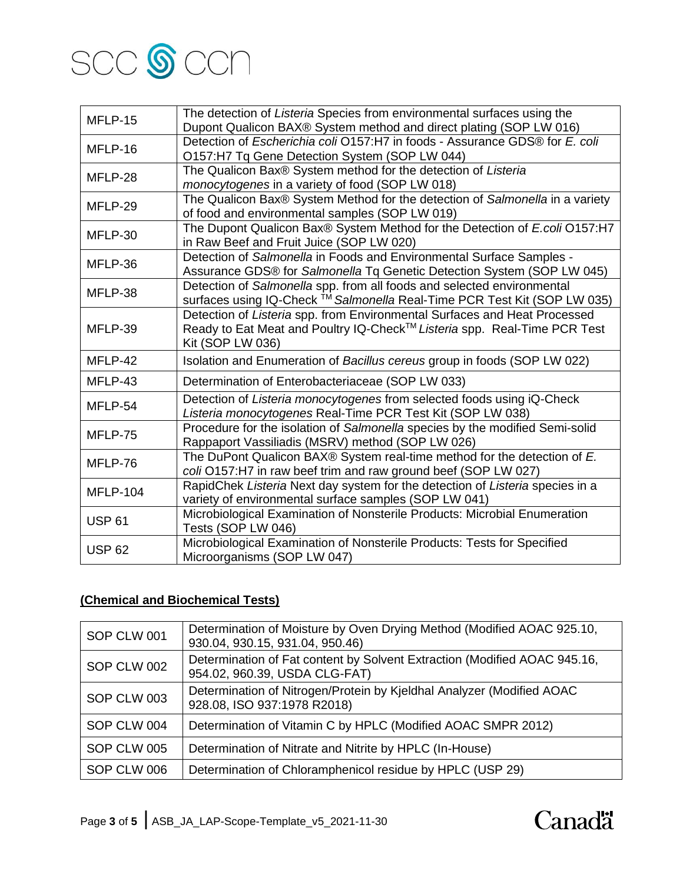

| MFLP-15         | The detection of Listeria Species from environmental surfaces using the       |
|-----------------|-------------------------------------------------------------------------------|
|                 | Dupont Qualicon BAX® System method and direct plating (SOP LW 016)            |
| MFLP-16         | Detection of Escherichia coli O157:H7 in foods - Assurance GDS® for E. coli   |
|                 | O157:H7 Tq Gene Detection System (SOP LW 044)                                 |
| MFLP-28         | The Qualicon Bax® System method for the detection of Listeria                 |
|                 | monocytogenes in a variety of food (SOP LW 018)                               |
| MFLP-29         | The Qualicon Bax® System Method for the detection of Salmonella in a variety  |
|                 | of food and environmental samples (SOP LW 019)                                |
|                 | The Dupont Qualicon Bax® System Method for the Detection of E.coli O157:H7    |
| MFLP-30         | in Raw Beef and Fruit Juice (SOP LW 020)                                      |
| MFLP-36         | Detection of Salmonella in Foods and Environmental Surface Samples -          |
|                 | Assurance GDS® for Salmonella Tq Genetic Detection System (SOP LW 045)        |
| MFLP-38         | Detection of Salmonella spp. from all foods and selected environmental        |
|                 | surfaces using IQ-Check ™ Salmonella Real-Time PCR Test Kit (SOP LW 035)      |
|                 | Detection of Listeria spp. from Environmental Surfaces and Heat Processed     |
| MFLP-39         | Ready to Eat Meat and Poultry IQ-Check™ Listeria spp. Real-Time PCR Test      |
|                 | Kit (SOP LW 036)                                                              |
| MFLP-42         | Isolation and Enumeration of Bacillus cereus group in foods (SOP LW 022)      |
| MFLP-43         | Determination of Enterobacteriaceae (SOP LW 033)                              |
| MFLP-54         | Detection of Listeria monocytogenes from selected foods using iQ-Check        |
|                 | Listeria monocytogenes Real-Time PCR Test Kit (SOP LW 038)                    |
| MFLP-75         | Procedure for the isolation of Salmonella species by the modified Semi-solid  |
|                 | Rappaport Vassiliadis (MSRV) method (SOP LW 026)                              |
| MFLP-76         | The DuPont Qualicon BAX® System real-time method for the detection of E.      |
|                 | coli O157:H7 in raw beef trim and raw ground beef (SOP LW 027)                |
| <b>MFLP-104</b> | RapidChek Listeria Next day system for the detection of Listeria species in a |
|                 | variety of environmental surface samples (SOP LW 041)                         |
| <b>USP 61</b>   | Microbiological Examination of Nonsterile Products: Microbial Enumeration     |
|                 | Tests (SOP LW 046)                                                            |
| <b>USP 62</b>   | Microbiological Examination of Nonsterile Products: Tests for Specified       |
|                 | Microorganisms (SOP LW 047)                                                   |

# **(Chemical and Biochemical Tests)**

| SOP CLW 001 | Determination of Moisture by Oven Drying Method (Modified AOAC 925.10,<br>930.04, 930.15, 931.04, 950.46)  |
|-------------|------------------------------------------------------------------------------------------------------------|
| SOP CLW 002 | Determination of Fat content by Solvent Extraction (Modified AOAC 945.16,<br>954.02, 960.39, USDA CLG-FAT) |
| SOP CLW 003 | Determination of Nitrogen/Protein by Kjeldhal Analyzer (Modified AOAC<br>928.08, ISO 937:1978 R2018)       |
| SOP CLW 004 | Determination of Vitamin C by HPLC (Modified AOAC SMPR 2012)                                               |
| SOP CLW 005 | Determination of Nitrate and Nitrite by HPLC (In-House)                                                    |
| SOP CLW 006 | Determination of Chloramphenicol residue by HPLC (USP 29)                                                  |

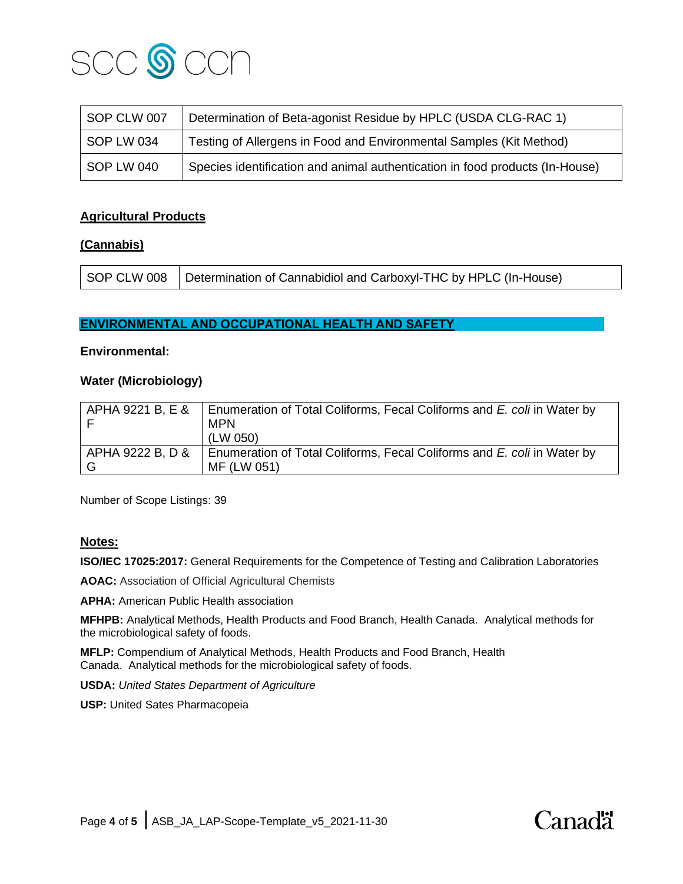

| SOP CLW 007 | Determination of Beta-agonist Residue by HPLC (USDA CLG-RAC 1)               |
|-------------|------------------------------------------------------------------------------|
| SOP LW 034  | Testing of Allergens in Food and Environmental Samples (Kit Method)          |
| SOP LW 040  | Species identification and animal authentication in food products (In-House) |

# **Agricultural Products**

## **(Cannabis)**

## **ENVIRONMENTAL AND OCCUPATIONAL HEALTH AND SAFETY**

#### **Environmental:**

#### **Water (Microbiology)**

| APHA 9221 B, E &   | Enumeration of Total Coliforms, Fecal Coliforms and E. coli in Water by<br><b>MPN</b> |
|--------------------|---------------------------------------------------------------------------------------|
|                    | (LW 050)                                                                              |
| I APHA 9222 B, D & | Enumeration of Total Coliforms, Fecal Coliforms and E. coli in Water by               |
|                    | MF (LW 051)                                                                           |

Number of Scope Listings: 39

## **Notes:**

**ISO/IEC 17025:2017:** General Requirements for the Competence of Testing and Calibration Laboratories

**AOAC:** Association of Official Agricultural Chemists

**APHA:** American Public Health association

**MFHPB:** Analytical Methods, Health Products and Food Branch, Health Canada. Analytical methods for the microbiological safety of foods.

**MFLP:** Compendium of Analytical Methods, Health Products and Food Branch, Health Canada. Analytical methods for the microbiological safety of foods.

**USDA:** *United States Department of Agriculture*

**USP:** United Sates Pharmacopeia